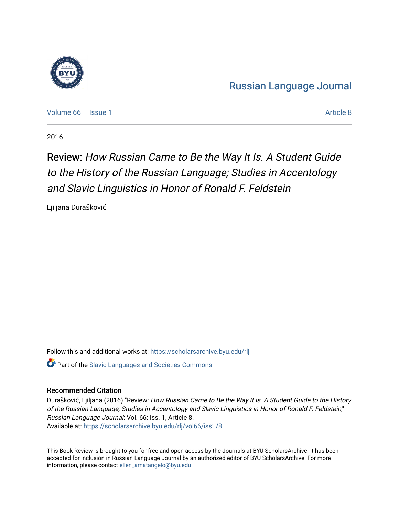

[Russian Language Journal](https://scholarsarchive.byu.edu/rlj) 

[Volume 66](https://scholarsarchive.byu.edu/rlj/vol66) | [Issue 1](https://scholarsarchive.byu.edu/rlj/vol66/iss1) Article 8

2016

## Review: How Russian Came to Be the Way It Is. A Student Guide to the History of the Russian Language; Studies in Accentology and Slavic Linguistics in Honor of Ronald F. Feldstein

Ljiljana Durašković

Follow this and additional works at: [https://scholarsarchive.byu.edu/rlj](https://scholarsarchive.byu.edu/rlj?utm_source=scholarsarchive.byu.edu%2Frlj%2Fvol66%2Fiss1%2F8&utm_medium=PDF&utm_campaign=PDFCoverPages) Part of the [Slavic Languages and Societies Commons](http://network.bepress.com/hgg/discipline/486?utm_source=scholarsarchive.byu.edu%2Frlj%2Fvol66%2Fiss1%2F8&utm_medium=PDF&utm_campaign=PDFCoverPages) 

## Recommended Citation

Durašković, Ljiljana (2016) "Review: How Russian Came to Be the Way It Is. A Student Guide to the History of the Russian Language; Studies in Accentology and Slavic Linguistics in Honor of Ronald F. Feldstein," Russian Language Journal: Vol. 66: Iss. 1, Article 8. Available at: [https://scholarsarchive.byu.edu/rlj/vol66/iss1/8](https://scholarsarchive.byu.edu/rlj/vol66/iss1/8?utm_source=scholarsarchive.byu.edu%2Frlj%2Fvol66%2Fiss1%2F8&utm_medium=PDF&utm_campaign=PDFCoverPages) 

This Book Review is brought to you for free and open access by the Journals at BYU ScholarsArchive. It has been accepted for inclusion in Russian Language Journal by an authorized editor of BYU ScholarsArchive. For more information, please contact [ellen\\_amatangelo@byu.edu.](mailto:ellen_amatangelo@byu.edu)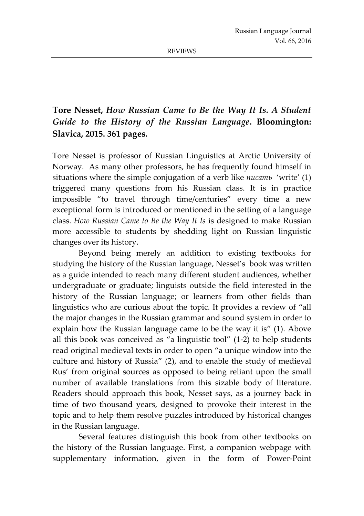## **Tore Nesset,** *How Russian Came to Be the Way It Is. A Student Guide to the History of the Russian Language***. Bloomington: Slavica, 2015. 361 pages.**

Tore Nesset is professor of Russian Linguistics at Arctic University of Norway. As many other professors, he has frequently found himself in situations where the simple conjugation of a verb like *писать* 'write' (1) triggered many questions from his Russian class. It is in practice impossible "to travel through time/centuries" every time a new exceptional form is introduced or mentioned in the setting of a language class. *How Russian Came to Be the Way It Is* is designed to make Russian more accessible to students by shedding light on Russian linguistic changes over its history.

Beyond being merely an addition to existing textbooks for studying the history of the Russian language, Nesset's book was written as a guide intended to reach many different student audiences, whether undergraduate or graduate; linguists outside the field interested in the history of the Russian language; or learners from other fields than linguistics who are curious about the topic. It provides a review of "all the major changes in the Russian grammar and sound system in order to explain how the Russian language came to be the way it is" (1). Above all this book was conceived as "a linguistic tool" (1-2) to help students read original medieval texts in order to open "a unique window into the culture and history of Russia" (2), and to enable the study of medieval Rus' from original sources as opposed to being reliant upon the small number of available translations from this sizable body of literature. Readers should approach this book, Nesset says, as a journey back in time of two thousand years, designed to provoke their interest in the topic and to help them resolve puzzles introduced by historical changes in the Russian language.

Several features distinguish this book from other textbooks on the history of the Russian language. First, a companion webpage with supplementary information, given in the form of Power-Point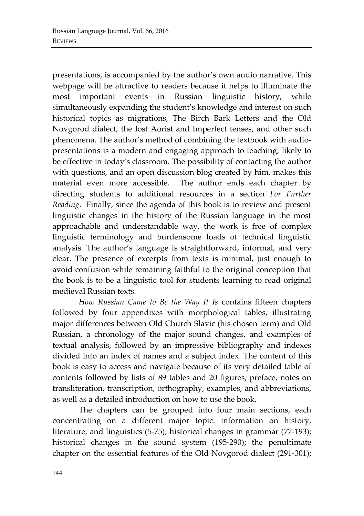presentations, is accompanied by the author's own audio narrative. This webpage will be attractive to readers because it helps to illuminate the most important events in Russian linguistic history, while simultaneously expanding the student's knowledge and interest on such historical topics as migrations, The Birch Bark Letters and the Old Novgorod dialect, the lost Aorist and Imperfect tenses, and other such phenomena. The author's method of combining the textbook with audiopresentations is a modern and engaging approach to teaching, likely to be effective in today's classroom. The possibility of contacting the author with questions, and an open discussion blog created by him, makes this material even more accessible. The author ends each chapter by directing students to additional resources in a section *For Further Reading*. Finally, since the agenda of this book is to review and present linguistic changes in the history of the Russian language in the most approachable and understandable way, the work is free of complex linguistic terminology and burdensome loads of technical linguistic analysis. The author's language is straightforward, informal, and very clear. The presence of excerpts from texts is minimal, just enough to avoid confusion while remaining faithful to the original conception that the book is to be a linguistic tool for students learning to read original medieval Russian texts.

*How Russian Came to Be the Way It Is* contains fifteen chapters followed by four appendixes with morphological tables, illustrating major differences between Old Church Slavic (his chosen term) and Old Russian, a chronology of the major sound changes, and examples of textual analysis, followed by an impressive bibliography and indexes divided into an index of names and a subject index. The content of this book is easy to access and navigate because of its very detailed table of contents followed by lists of 89 tables and 20 figures, preface, notes on transliteration, transcription, orthography, examples, and abbreviations, as well as a detailed introduction on how to use the book.

The chapters can be grouped into four main sections, each concentrating on a different major topic: information on history, literature, and linguistics (5-75); historical changes in grammar (77-193); historical changes in the sound system (195-290); the penultimate chapter on the essential features of the Old Novgorod dialect (291-301);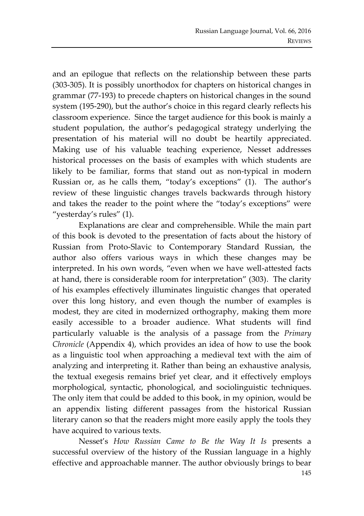and an epilogue that reflects on the relationship between these parts (303-305). It is possibly unorthodox for chapters on historical changes in grammar (77-193) to precede chapters on historical changes in the sound system (195-290), but the author's choice in this regard clearly reflects his classroom experience. Since the target audience for this book is mainly a student population, the author's pedagogical strategy underlying the presentation of his material will no doubt be heartily appreciated. Making use of his valuable teaching experience, Nesset addresses historical processes on the basis of examples with which students are likely to be familiar, forms that stand out as non-typical in modern Russian or, as he calls them, "today's exceptions" (1). The author's review of these linguistic changes travels backwards through history and takes the reader to the point where the "today's exceptions" were "yesterday's rules" (1).

Explanations are clear and comprehensible. While the main part of this book is devoted to the presentation of facts about the history of Russian from Proto-Slavic to Contemporary Standard Russian, the author also offers various ways in which these changes may be interpreted. In his own words, "even when we have well-attested facts at hand, there is considerable room for interpretation" (303). The clarity of his examples effectively illuminates linguistic changes that operated over this long history, and even though the number of examples is modest, they are cited in modernized orthography, making them more easily accessible to a broader audience. What students will find particularly valuable is the analysis of a passage from the *Primary Chronicle* (Appendix 4), which provides an idea of how to use the book as a linguistic tool when approaching a medieval text with the aim of analyzing and interpreting it. Rather than being an exhaustive analysis, the textual exegesis remains brief yet clear, and it effectively employs morphological, syntactic, phonological, and sociolinguistic techniques. The only item that could be added to this book, in my opinion, would be an appendix listing different passages from the historical Russian literary canon so that the readers might more easily apply the tools they have acquired to various texts.

Nesset's *How Russian Came to Be the Way It Is* presents a successful overview of the history of the Russian language in a highly effective and approachable manner. The author obviously brings to bear